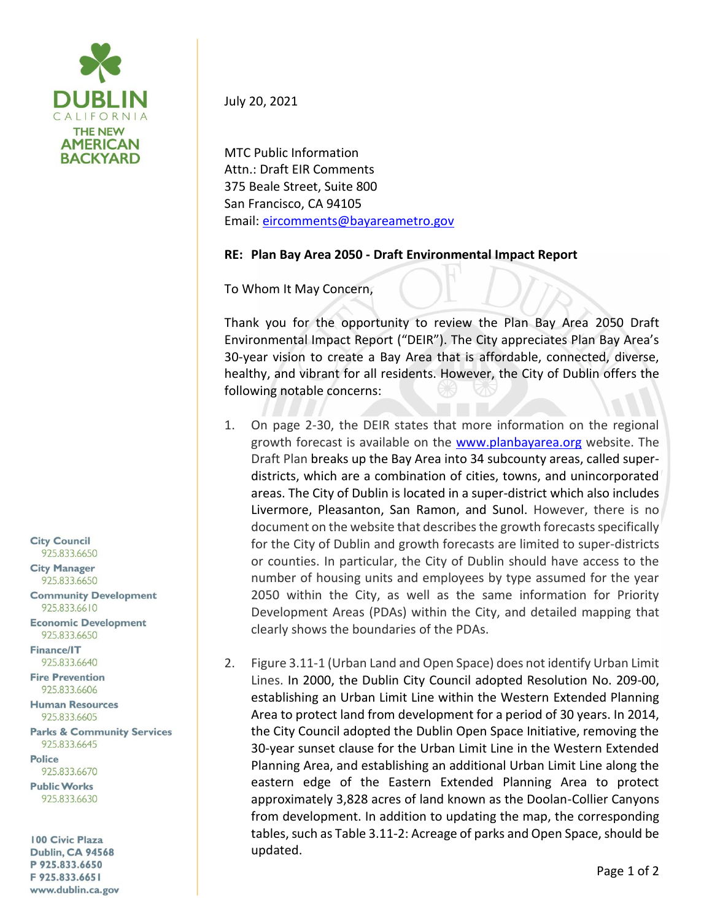

July 20, 2021

MTC Public Information Attn.: Draft EIR Comments 375 Beale Street, Suite 800 San Francisco, CA 94105 Email[: eircomments@bayareametro.gov](mailto:eircomments@bayareametro.gov)

## **RE: Plan Bay Area 2050 - Draft Environmental Impact Report**

To Whom It May Concern,

Thank you for the opportunity to review the Plan Bay Area 2050 Draft Environmental Impact Report ("DEIR"). The City appreciates Plan Bay Area's 30-year vision to create a Bay Area that is affordable, connected, diverse, healthy, and vibrant for all residents. However, the City of Dublin offers the following notable concerns:

- 1. On page 2-30, the DEIR states that more information on the regional growth forecast is available on the [www.planbayarea.org](http://www.planbayarea.org/) website. The Draft Plan breaks up the Bay Area into 34 subcounty areas, called superdistricts, which are a combination of cities, towns, and unincorporated areas. The City of Dublin is located in a super-district which also includes Livermore, Pleasanton, San Ramon, and Sunol. However, there is no document on the website that describes the growth forecasts specifically for the City of Dublin and growth forecasts are limited to super-districts or counties. In particular, the City of Dublin should have access to the number of housing units and employees by type assumed for the year 2050 within the City, as well as the same information for Priority Development Areas (PDAs) within the City, and detailed mapping that clearly shows the boundaries of the PDAs.
- 2. Figure 3.11-1 (Urban Land and Open Space) does not identify Urban Limit Lines. In 2000, the Dublin City Council adopted Resolution No. 209-00, establishing an Urban Limit Line within the Western Extended Planning Area to protect land from development for a period of 30 years. In 2014, the City Council adopted the Dublin Open Space Initiative, removing the 30-year sunset clause for the Urban Limit Line in the Western Extended Planning Area, and establishing an additional Urban Limit Line along the eastern edge of the Eastern Extended Planning Area to protect approximately 3,828 acres of land known as the Doolan-Collier Canyons from development. In addition to updating the map, the corresponding tables, such as Table 3.11-2: Acreage of parks and Open Space, should be updated.

**City Council** 925.833.6650

**City Manager** 925.833.6650

**Community Development** 925.833.6610

**Economic Development** 925.833.6650

Finance/IT 925.833.6640

**Fire Prevention** 925.833.6606

**Human Resources** 925.833.6605

**Parks & Community Services** 925.833.6645

**Police** 925.833.6670

**Public Works** 925.833.6630

100 Civic Plaza **Dublin, CA 94568** P 925.833.6650 F 925.833.6651 www.dublin.ca.gov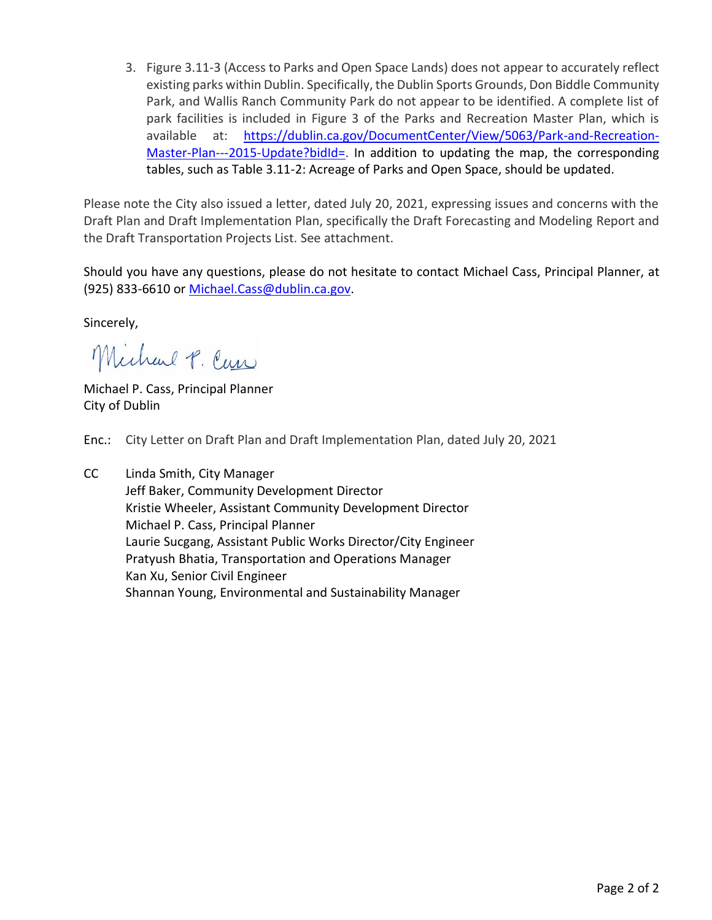3. Figure 3.11-3 (Access to Parks and Open Space Lands) does not appear to accurately reflect existing parks within Dublin. Specifically, the Dublin Sports Grounds, Don Biddle Community Park, and Wallis Ranch Community Park do not appear to be identified. A complete list of park facilities is included in Figure 3 of the Parks and Recreation Master Plan, which is available at: [https://dublin.ca.gov/DocumentCenter/View/5063/Park-and-Recreation-](https://dublin.ca.gov/DocumentCenter/View/5063/Park-and-Recreation-Master-Plan---2015-Update?bidId=)[Master-Plan---2015-Update?bidId=.](https://dublin.ca.gov/DocumentCenter/View/5063/Park-and-Recreation-Master-Plan---2015-Update?bidId=) In addition to updating the map, the corresponding tables, such as Table 3.11-2: Acreage of Parks and Open Space, should be updated.

Please note the City also issued a letter, dated July 20, 2021, expressing issues and concerns with the Draft Plan and Draft Implementation Plan, specifically the Draft Forecasting and Modeling Report and the Draft Transportation Projects List. See attachment.

Should you have any questions, please do not hesitate to contact Michael Cass, Principal Planner, at (925) 833-6610 or [Michael.Cass@dublin.ca.gov.](mailto:Michael.Cass@dublin.ca.gov)

Sincerely,

Michael P. Cur

Michael P. Cass, Principal Planner City of Dublin

- Enc.: City Letter on Draft Plan and Draft Implementation Plan, dated July 20, 2021
- CC Linda Smith, City Manager Jeff Baker, Community Development Director Kristie Wheeler, Assistant Community Development Director Michael P. Cass, Principal Planner Laurie Sucgang, Assistant Public Works Director/City Engineer Pratyush Bhatia, Transportation and Operations Manager Kan Xu, Senior Civil Engineer Shannan Young, Environmental and Sustainability Manager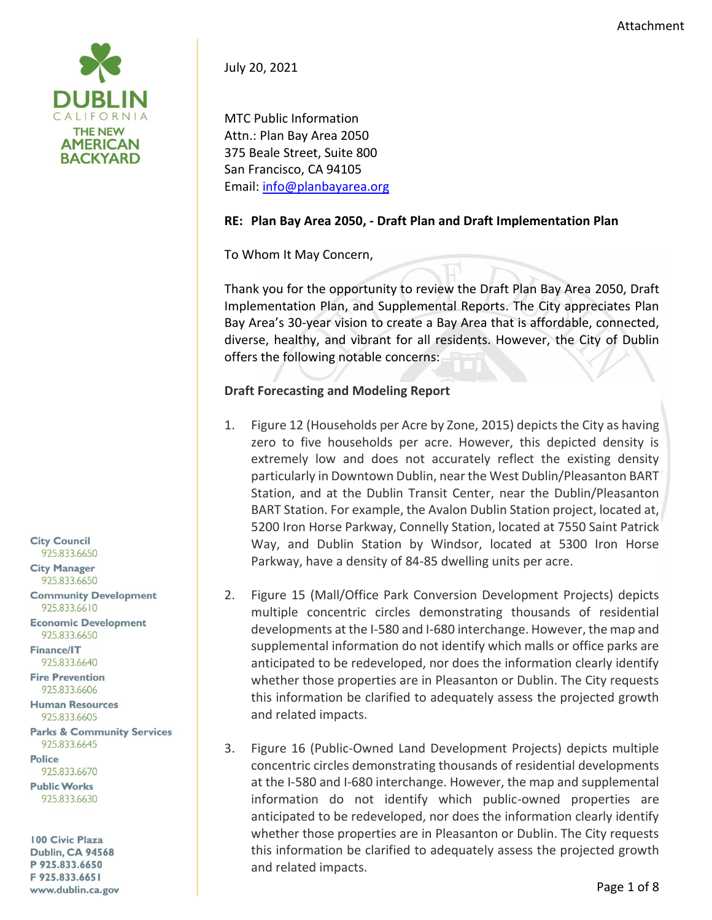

July 20, 2021

MTC Public Information Attn.: Plan Bay Area 2050 375 Beale Street, Suite 800 San Francisco, CA 94105 Email[: info@planbayarea.org](mailto:info@planbayarea.org)

## **RE: Plan Bay Area 2050, - Draft Plan and Draft Implementation Plan**

To Whom It May Concern,

Thank you for the opportunity to review the Draft Plan Bay Area 2050, Draft Implementation Plan, and Supplemental Reports. The City appreciates Plan Bay Area's 30-year vision to create a Bay Area that is affordable, connected, diverse, healthy, and vibrant for all residents. However, the City of Dublin offers the following notable concerns:

## **Draft Forecasting and Modeling Report**

- 1. Figure 12 (Households per Acre by Zone, 2015) depicts the City as having zero to five households per acre. However, this depicted density is extremely low and does not accurately reflect the existing density particularly in Downtown Dublin, near the West Dublin/Pleasanton BART Station, and at the Dublin Transit Center, near the Dublin/Pleasanton BART Station. For example, the Avalon Dublin Station project, located at, 5200 Iron Horse Parkway, Connelly Station, located at 7550 Saint Patrick Way, and Dublin Station by Windsor, located at 5300 Iron Horse Parkway, have a density of 84-85 dwelling units per acre.
- 2. Figure 15 (Mall/Office Park Conversion Development Projects) depicts multiple concentric circles demonstrating thousands of residential developments at the I-580 and I-680 interchange. However, the map and supplemental information do not identify which malls or office parks are anticipated to be redeveloped, nor does the information clearly identify whether those properties are in Pleasanton or Dublin. The City requests this information be clarified to adequately assess the projected growth and related impacts.
- 3. Figure 16 (Public-Owned Land Development Projects) depicts multiple concentric circles demonstrating thousands of residential developments at the I-580 and I-680 interchange. However, the map and supplemental information do not identify which public-owned properties are anticipated to be redeveloped, nor does the information clearly identify whether those properties are in Pleasanton or Dublin. The City requests this information be clarified to adequately assess the projected growth and related impacts.

**City Council** 925.833.6650

**City Manager** 925.833.6650

**Community Development** 925.833.6610

**Economic Development** 925.833.6650

**Finance/IT** 925.833.6640

**Fire Prevention** 925.833.6606

**Human Resources** 925.833.6605

**Parks & Community Services** 925.833.6645

**Police** 925.833.6670

**Public Works** 925.833.6630

100 Civic Plaza **Dublin, CA 94568** P 925.833.6650 F 925.833.6651 www.dublin.ca.gov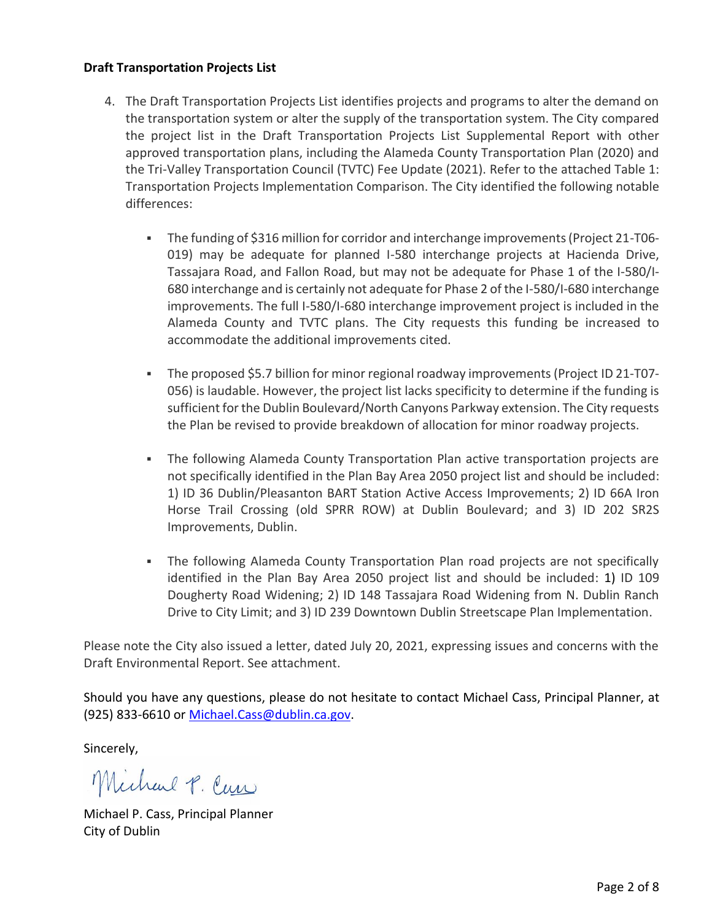## **Draft Transportation Projects List**

- 4. The Draft Transportation Projects List identifies projects and programs to alter the demand on the transportation system or alter the supply of the transportation system. The City compared the project list in the Draft Transportation Projects List Supplemental Report with other approved transportation plans, including the Alameda County Transportation Plan (2020) and the Tri-Valley Transportation Council (TVTC) Fee Update (2021). Refer to the attached Table 1: Transportation Projects Implementation Comparison. The City identified the following notable differences:
	- The funding of \$316 million for corridor and interchange improvements (Project 21-T06- 019) may be adequate for planned I-580 interchange projects at Hacienda Drive, Tassajara Road, and Fallon Road, but may not be adequate for Phase 1 of the I-580/I-680 interchange and is certainly not adequate for Phase 2 of the I-580/I-680 interchange improvements. The full I-580/I-680 interchange improvement project is included in the Alameda County and TVTC plans. The City requests this funding be increased to accommodate the additional improvements cited.
	- The proposed \$5.7 billion for minor regional roadway improvements (Project ID 21-T07- 056) is laudable. However, the project list lacks specificity to determine if the funding is sufficient for the Dublin Boulevard/North Canyons Parkway extension. The City requests the Plan be revised to provide breakdown of allocation for minor roadway projects.
	- **The following Alameda County Transportation Plan active transportation projects are** not specifically identified in the Plan Bay Area 2050 project list and should be included: 1) ID 36 Dublin/Pleasanton BART Station Active Access Improvements; 2) ID 66A Iron Horse Trail Crossing (old SPRR ROW) at Dublin Boulevard; and 3) ID 202 SR2S Improvements, Dublin.
	- **•** The following Alameda County Transportation Plan road projects are not specifically identified in the Plan Bay Area 2050 project list and should be included: 1) ID 109 Dougherty Road Widening; 2) ID 148 Tassajara Road Widening from N. Dublin Ranch Drive to City Limit; and 3) ID 239 Downtown Dublin Streetscape Plan Implementation.

Please note the City also issued a letter, dated July 20, 2021, expressing issues and concerns with the Draft Environmental Report. See attachment.

Should you have any questions, please do not hesitate to contact Michael Cass, Principal Planner, at (925) 833-6610 or [Michael.Cass@dublin.ca.gov.](mailto:Michael.Cass@dublin.ca.gov)

Sincerely,

Michael P. Cur

Michael P. Cass, Principal Planner City of Dublin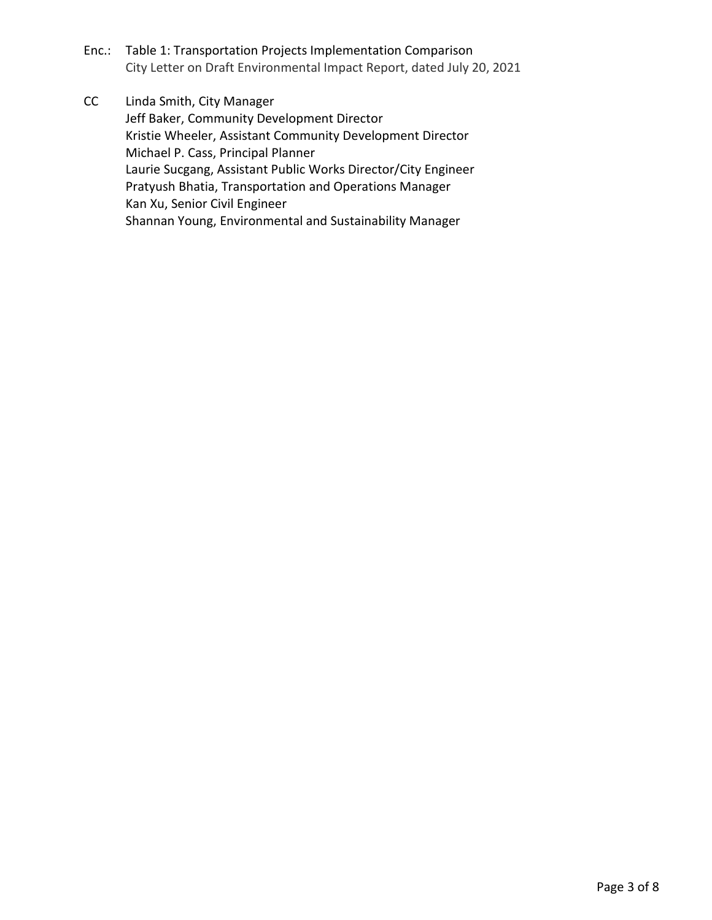Enc.: Table 1: Transportation Projects Implementation Comparison City Letter on Draft Environmental Impact Report, dated July 20, 2021

CC Linda Smith, City Manager Jeff Baker, Community Development Director Kristie Wheeler, Assistant Community Development Director Michael P. Cass, Principal Planner Laurie Sucgang, Assistant Public Works Director/City Engineer Pratyush Bhatia, Transportation and Operations Manager Kan Xu, Senior Civil Engineer Shannan Young, Environmental and Sustainability Manager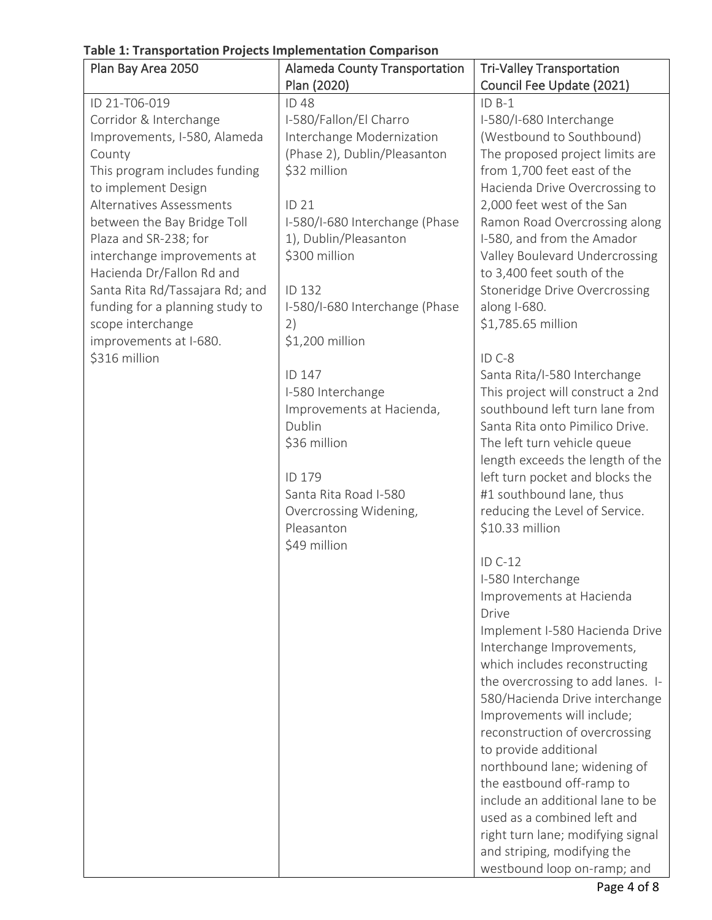**Table 1: Transportation Projects Implementation Comparison**

| Plan Bay Area 2050              | <b>Alameda County Transportation</b> | <b>Tri-Valley Transportation</b>                            |
|---------------------------------|--------------------------------------|-------------------------------------------------------------|
|                                 | Plan (2020)                          | Council Fee Update (2021)                                   |
| ID 21-T06-019                   | <b>ID48</b>                          | $ID B-1$                                                    |
| Corridor & Interchange          | I-580/Fallon/El Charro               | I-580/I-680 Interchange                                     |
| Improvements, I-580, Alameda    | Interchange Modernization            | (Westbound to Southbound)                                   |
| County                          | (Phase 2), Dublin/Pleasanton         | The proposed project limits are                             |
| This program includes funding   | \$32 million                         | from 1,700 feet east of the                                 |
| to implement Design             |                                      | Hacienda Drive Overcrossing to                              |
| Alternatives Assessments        | ID 21                                | 2,000 feet west of the San                                  |
| between the Bay Bridge Toll     | I-580/I-680 Interchange (Phase       | Ramon Road Overcrossing along                               |
| Plaza and SR-238; for           | 1), Dublin/Pleasanton                | I-580, and from the Amador                                  |
| interchange improvements at     | \$300 million                        | Valley Boulevard Undercrossing                              |
| Hacienda Dr/Fallon Rd and       |                                      | to 3,400 feet south of the                                  |
| Santa Rita Rd/Tassajara Rd; and | ID 132                               | <b>Stoneridge Drive Overcrossing</b>                        |
| funding for a planning study to | I-580/I-680 Interchange (Phase       | along I-680.                                                |
| scope interchange               | 2)                                   | \$1,785.65 million                                          |
| improvements at I-680.          | \$1,200 million                      |                                                             |
| \$316 million                   |                                      | ID C-8                                                      |
|                                 | ID 147                               | Santa Rita/I-580 Interchange                                |
|                                 | I-580 Interchange                    | This project will construct a 2nd                           |
|                                 | Improvements at Hacienda,            | southbound left turn lane from                              |
|                                 | Dublin                               | Santa Rita onto Pimilico Drive.                             |
|                                 | \$36 million                         | The left turn vehicle queue                                 |
|                                 | ID 179                               | length exceeds the length of the                            |
|                                 | Santa Rita Road I-580                | left turn pocket and blocks the<br>#1 southbound lane, thus |
|                                 | Overcrossing Widening,               | reducing the Level of Service.                              |
|                                 | Pleasanton                           | \$10.33 million                                             |
|                                 | \$49 million                         |                                                             |
|                                 |                                      | ID C-12                                                     |
|                                 |                                      | I-580 Interchange                                           |
|                                 |                                      | Improvements at Hacienda                                    |
|                                 |                                      | Drive                                                       |
|                                 |                                      | Implement I-580 Hacienda Drive                              |
|                                 |                                      | Interchange Improvements,                                   |
|                                 |                                      | which includes reconstructing                               |
|                                 |                                      | the overcrossing to add lanes. I-                           |
|                                 |                                      | 580/Hacienda Drive interchange                              |
|                                 |                                      | Improvements will include;                                  |
|                                 |                                      | reconstruction of overcrossing                              |
|                                 |                                      | to provide additional                                       |
|                                 |                                      | northbound lane; widening of                                |
|                                 |                                      | the eastbound off-ramp to                                   |
|                                 |                                      | include an additional lane to be                            |
|                                 |                                      | used as a combined left and                                 |
|                                 |                                      | right turn lane; modifying signal                           |
|                                 |                                      | and striping, modifying the                                 |
|                                 |                                      | westbound loop on-ramp; and                                 |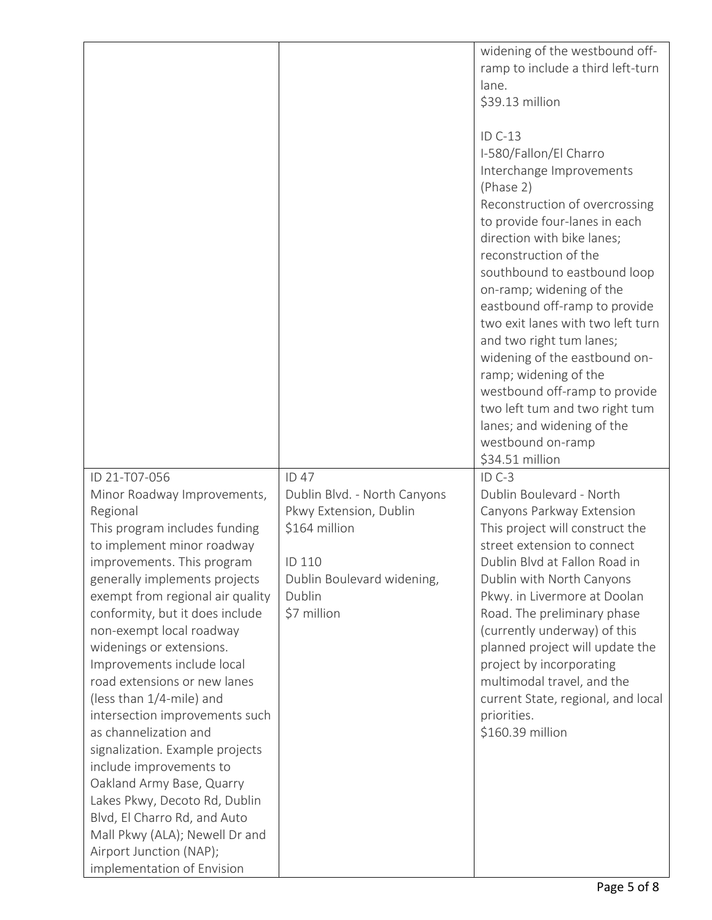|                                                                                                                                                                                                                                                                                                                                                                                                                                                                                                                                                                                                                                                                                                                                   |                                                                                                                                                   | widening of the westbound off-<br>ramp to include a third left-turn<br>lane.<br>\$39.13 million<br>ID C-13<br>I-580/Fallon/El Charro<br>Interchange Improvements<br>(Phase 2)<br>Reconstruction of overcrossing<br>to provide four-lanes in each<br>direction with bike lanes;<br>reconstruction of the<br>southbound to eastbound loop<br>on-ramp; widening of the<br>eastbound off-ramp to provide<br>two exit lanes with two left turn<br>and two right tum lanes;<br>widening of the eastbound on-<br>ramp; widening of the<br>westbound off-ramp to provide<br>two left tum and two right tum<br>lanes; and widening of the |
|-----------------------------------------------------------------------------------------------------------------------------------------------------------------------------------------------------------------------------------------------------------------------------------------------------------------------------------------------------------------------------------------------------------------------------------------------------------------------------------------------------------------------------------------------------------------------------------------------------------------------------------------------------------------------------------------------------------------------------------|---------------------------------------------------------------------------------------------------------------------------------------------------|----------------------------------------------------------------------------------------------------------------------------------------------------------------------------------------------------------------------------------------------------------------------------------------------------------------------------------------------------------------------------------------------------------------------------------------------------------------------------------------------------------------------------------------------------------------------------------------------------------------------------------|
|                                                                                                                                                                                                                                                                                                                                                                                                                                                                                                                                                                                                                                                                                                                                   |                                                                                                                                                   | westbound on-ramp<br>\$34.51 million                                                                                                                                                                                                                                                                                                                                                                                                                                                                                                                                                                                             |
| ID 21-T07-056<br>Minor Roadway Improvements,<br>Regional<br>This program includes funding<br>to implement minor roadway<br>improvements. This program<br>generally implements projects<br>exempt from regional air quality<br>conformity, but it does include<br>non-exempt local roadway<br>widenings or extensions.<br>Improvements include local<br>road extensions or new lanes<br>(less than 1/4-mile) and<br>intersection improvements such<br>as channelization and<br>signalization. Example projects<br>include improvements to<br>Oakland Army Base, Quarry<br>Lakes Pkwy, Decoto Rd, Dublin<br>Blvd, El Charro Rd, and Auto<br>Mall Pkwy (ALA); Newell Dr and<br>Airport Junction (NAP);<br>implementation of Envision | ID 47<br>Dublin Blvd. - North Canyons<br>Pkwy Extension, Dublin<br>\$164 million<br>ID 110<br>Dublin Boulevard widening,<br>Dublin<br>\$7 million | $ID C-3$<br>Dublin Boulevard - North<br>Canyons Parkway Extension<br>This project will construct the<br>street extension to connect<br>Dublin Blvd at Fallon Road in<br>Dublin with North Canyons<br>Pkwy. in Livermore at Doolan<br>Road. The preliminary phase<br>(currently underway) of this<br>planned project will update the<br>project by incorporating<br>multimodal travel, and the<br>current State, regional, and local<br>priorities.<br>\$160.39 million                                                                                                                                                           |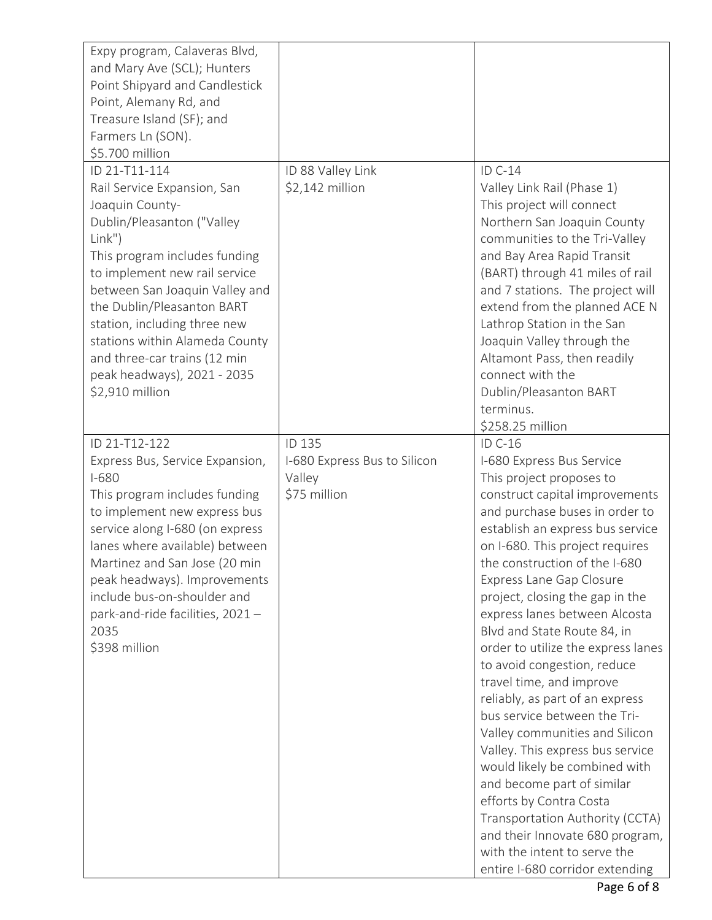| Expy program, Calaveras Blvd,<br>and Mary Ave (SCL); Hunters<br>Point Shipyard and Candlestick<br>Point, Alemany Rd, and<br>Treasure Island (SF); and<br>Farmers Ln (SON).<br>\$5.700 million                                                                                                                                                                                                 |                                                                  |                                                                                                                                                                                                                                                                                                                                                                                                                                                                                                                                                                                                                                                                                                                                                                                                                                                          |
|-----------------------------------------------------------------------------------------------------------------------------------------------------------------------------------------------------------------------------------------------------------------------------------------------------------------------------------------------------------------------------------------------|------------------------------------------------------------------|----------------------------------------------------------------------------------------------------------------------------------------------------------------------------------------------------------------------------------------------------------------------------------------------------------------------------------------------------------------------------------------------------------------------------------------------------------------------------------------------------------------------------------------------------------------------------------------------------------------------------------------------------------------------------------------------------------------------------------------------------------------------------------------------------------------------------------------------------------|
| ID 21-T11-114<br>Rail Service Expansion, San<br>Joaquin County-<br>Dublin/Pleasanton ("Valley<br>Link")<br>This program includes funding<br>to implement new rail service<br>between San Joaquin Valley and<br>the Dublin/Pleasanton BART<br>station, including three new<br>stations within Alameda County<br>and three-car trains (12 min<br>peak headways), 2021 - 2035<br>\$2,910 million | ID 88 Valley Link<br>\$2,142 million                             | ID C-14<br>Valley Link Rail (Phase 1)<br>This project will connect<br>Northern San Joaquin County<br>communities to the Tri-Valley<br>and Bay Area Rapid Transit<br>(BART) through 41 miles of rail<br>and 7 stations. The project will<br>extend from the planned ACE N<br>Lathrop Station in the San<br>Joaquin Valley through the<br>Altamont Pass, then readily<br>connect with the<br>Dublin/Pleasanton BART<br>terminus.<br>\$258.25 million                                                                                                                                                                                                                                                                                                                                                                                                       |
| ID 21-T12-122<br>Express Bus, Service Expansion,<br>$I-680$<br>This program includes funding<br>to implement new express bus<br>service along I-680 (on express<br>lanes where available) between<br>Martinez and San Jose (20 min<br>peak headways). Improvements<br>include bus-on-shoulder and<br>park-and-ride facilities, 2021 -<br>2035<br>\$398 million                                | ID 135<br>I-680 Express Bus to Silicon<br>Valley<br>\$75 million | ID C-16<br>I-680 Express Bus Service<br>This project proposes to<br>construct capital improvements<br>and purchase buses in order to<br>establish an express bus service<br>on I-680. This project requires<br>the construction of the I-680<br>Express Lane Gap Closure<br>project, closing the gap in the<br>express lanes between Alcosta<br>Blvd and State Route 84, in<br>order to utilize the express lanes<br>to avoid congestion, reduce<br>travel time, and improve<br>reliably, as part of an express<br>bus service between the Tri-<br>Valley communities and Silicon<br>Valley. This express bus service<br>would likely be combined with<br>and become part of similar<br>efforts by Contra Costa<br>Transportation Authority (CCTA)<br>and their Innovate 680 program,<br>with the intent to serve the<br>entire I-680 corridor extending |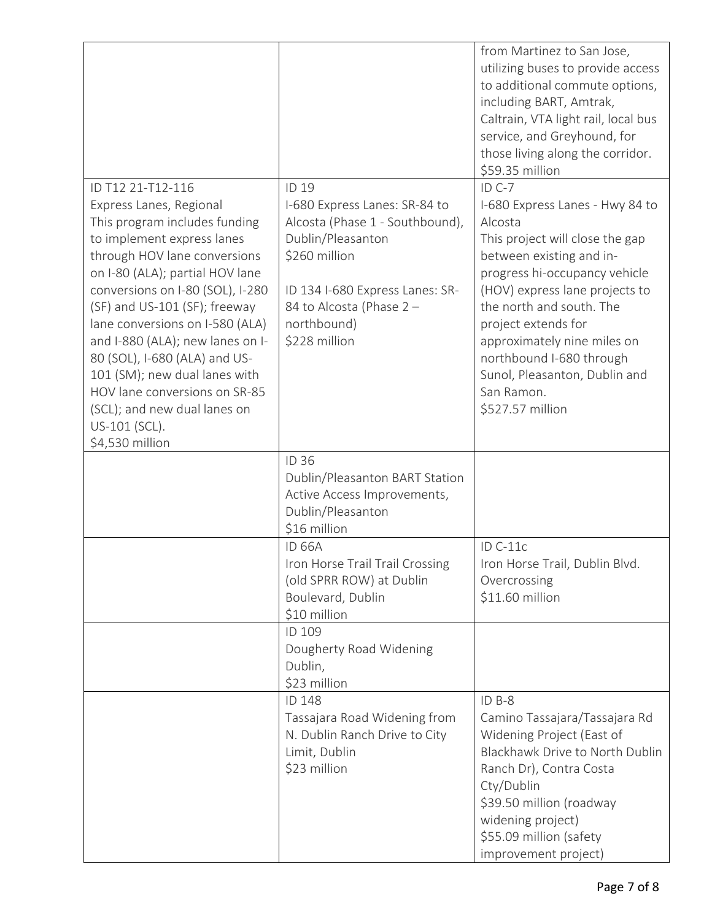|                                                                                                                                                                                                                                                                                                                                                                                                                                                                                                   |                                                                                                                                                                                                                | from Martinez to San Jose,<br>utilizing buses to provide access<br>to additional commute options,<br>including BART, Amtrak,<br>Caltrain, VTA light rail, local bus<br>service, and Greyhound, for<br>those living along the corridor.<br>\$59.35 million                                                                                                                 |
|---------------------------------------------------------------------------------------------------------------------------------------------------------------------------------------------------------------------------------------------------------------------------------------------------------------------------------------------------------------------------------------------------------------------------------------------------------------------------------------------------|----------------------------------------------------------------------------------------------------------------------------------------------------------------------------------------------------------------|---------------------------------------------------------------------------------------------------------------------------------------------------------------------------------------------------------------------------------------------------------------------------------------------------------------------------------------------------------------------------|
| ID T12 21-T12-116<br>Express Lanes, Regional<br>This program includes funding<br>to implement express lanes<br>through HOV lane conversions<br>on I-80 (ALA); partial HOV lane<br>conversions on I-80 (SOL), I-280<br>(SF) and US-101 (SF); freeway<br>lane conversions on I-580 (ALA)<br>and I-880 (ALA); new lanes on I-<br>80 (SOL), I-680 (ALA) and US-<br>101 (SM); new dual lanes with<br>HOV lane conversions on SR-85<br>(SCL); and new dual lanes on<br>US-101 (SCL).<br>\$4,530 million | ID 19<br>I-680 Express Lanes: SR-84 to<br>Alcosta (Phase 1 - Southbound),<br>Dublin/Pleasanton<br>\$260 million<br>ID 134 I-680 Express Lanes: SR-<br>84 to Alcosta (Phase 2 -<br>northbound)<br>\$228 million | $ID C-7$<br>I-680 Express Lanes - Hwy 84 to<br>Alcosta<br>This project will close the gap<br>between existing and in-<br>progress hi-occupancy vehicle<br>(HOV) express lane projects to<br>the north and south. The<br>project extends for<br>approximately nine miles on<br>northbound I-680 through<br>Sunol, Pleasanton, Dublin and<br>San Ramon.<br>\$527.57 million |
|                                                                                                                                                                                                                                                                                                                                                                                                                                                                                                   | <b>ID 36</b><br>Dublin/Pleasanton BART Station<br>Active Access Improvements,<br>Dublin/Pleasanton<br>\$16 million                                                                                             |                                                                                                                                                                                                                                                                                                                                                                           |
|                                                                                                                                                                                                                                                                                                                                                                                                                                                                                                   | <b>ID 66A</b><br>Iron Horse Trail Trail Crossing<br>(old SPRR ROW) at Dublin<br>Boulevard, Dublin<br>\$10 million                                                                                              | $ID C-11c$<br>Iron Horse Trail, Dublin Blvd.<br>Overcrossing<br>\$11.60 million                                                                                                                                                                                                                                                                                           |
|                                                                                                                                                                                                                                                                                                                                                                                                                                                                                                   | ID 109<br>Dougherty Road Widening<br>Dublin,<br>\$23 million                                                                                                                                                   |                                                                                                                                                                                                                                                                                                                                                                           |
|                                                                                                                                                                                                                                                                                                                                                                                                                                                                                                   | ID 148<br>Tassajara Road Widening from<br>N. Dublin Ranch Drive to City<br>Limit, Dublin<br>\$23 million                                                                                                       | ID B-8<br>Camino Tassajara/Tassajara Rd<br>Widening Project (East of<br>Blackhawk Drive to North Dublin<br>Ranch Dr), Contra Costa<br>Cty/Dublin<br>\$39.50 million (roadway<br>widening project)<br>\$55.09 million (safety<br>improvement project)                                                                                                                      |